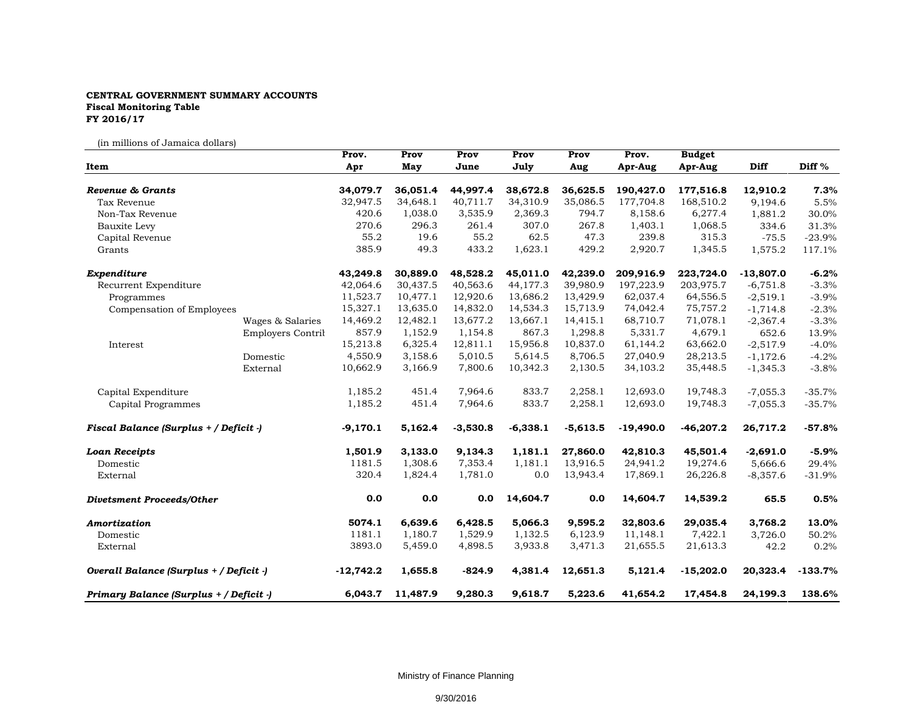## **CENTRAL GOVERNMENT SUMMARY ACCOUNTS Fiscal Monitoring Table FY 2016/17**

(in millions of Jamaica dollars)

|                                         |                          | Prov.                | Prov                 | Prov                 | Prov                 | Prov                 | Prov.                  | <b>Budget</b>          |                     |              |
|-----------------------------------------|--------------------------|----------------------|----------------------|----------------------|----------------------|----------------------|------------------------|------------------------|---------------------|--------------|
| Item                                    |                          | Apr                  | May                  | June                 | July                 | Aug                  | Apr-Aug                | Apr-Aug                | Diff                | Diff %       |
|                                         |                          |                      |                      |                      |                      |                      |                        |                        |                     |              |
| Revenue & Grants<br>Tax Revenue         |                          | 34,079.7<br>32,947.5 | 36,051.4<br>34,648.1 | 44,997.4<br>40,711.7 | 38,672.8<br>34,310.9 | 36,625.5<br>35,086.5 | 190,427.0<br>177,704.8 | 177,516.8<br>168,510.2 | 12,910.2<br>9,194.6 | 7.3%<br>5.5% |
| Non-Tax Revenue                         |                          | 420.6                | 1,038.0              | 3,535.9              | 2,369.3              | 794.7                | 8,158.6                | 6,277.4                |                     | 30.0%        |
|                                         |                          | 270.6                | 296.3                | 261.4                | 307.0                | 267.8                | 1,403.1                | 1,068.5                | 1,881.2<br>334.6    | 31.3%        |
| Bauxite Levy                            |                          | 55.2                 | 19.6                 | 55.2                 | 62.5                 | 47.3                 | 239.8                  | 315.3                  | $-75.5$             | $-23.9%$     |
| Capital Revenue<br>Grants               |                          | 385.9                | 49.3                 | 433.2                | 1,623.1              | 429.2                | 2,920.7                | 1,345.5                | 1,575.2             | 117.1%       |
|                                         |                          |                      |                      |                      |                      |                      |                        |                        |                     |              |
| Expenditure                             |                          | 43,249.8             | 30,889.0             | 48,528.2             | 45,011.0             | 42,239.0             | 209,916.9              | 223,724.0              | $-13,807.0$         | $-6.2%$      |
| Recurrent Expenditure                   |                          | 42,064.6             | 30,437.5             | 40,563.6             | 44,177.3             | 39,980.9             | 197,223.9              | 203,975.7              | $-6,751.8$          | $-3.3%$      |
| Programmes                              |                          | 11,523.7             | 10,477.1             | 12,920.6             | 13,686.2             | 13,429.9             | 62,037.4               | 64,556.5               | $-2,519.1$          | $-3.9%$      |
| Compensation of Employees               |                          | 15,327.1             | 13,635.0             | 14,832.0             | 14,534.3             | 15,713.9             | 74,042.4               | 75,757.2               | $-1,714.8$          | $-2.3%$      |
|                                         | Wages & Salaries         | 14,469.2             | 12,482.1             | 13,677.2             | 13,667.1             | 14,415.1             | 68,710.7               | 71,078.1               | $-2,367.4$          | $-3.3%$      |
|                                         | <b>Employers Contril</b> | 857.9                | 1,152.9              | 1,154.8              | 867.3                | 1,298.8              | 5,331.7                | 4,679.1                | 652.6               | 13.9%        |
| Interest                                |                          | 15,213.8             | 6,325.4              | 12,811.1             | 15,956.8             | 10,837.0             | 61,144.2               | 63,662.0               | $-2,517.9$          | $-4.0%$      |
|                                         | Domestic                 | 4,550.9              | 3,158.6              | 5,010.5              | 5,614.5              | 8,706.5              | 27,040.9               | 28,213.5               | $-1,172.6$          | $-4.2%$      |
|                                         | External                 | 10,662.9             | 3,166.9              | 7,800.6              | 10,342.3             | 2,130.5              | 34,103.2               | 35,448.5               | $-1,345.3$          | $-3.8%$      |
| Capital Expenditure                     |                          | 1,185.2              | 451.4                | 7,964.6              | 833.7                | 2,258.1              | 12,693.0               | 19,748.3               | $-7,055.3$          | $-35.7%$     |
| Capital Programmes                      |                          | 1,185.2              | 451.4                | 7,964.6              | 833.7                | 2,258.1              | 12,693.0               | 19,748.3               | $-7,055.3$          | $-35.7%$     |
| Fiscal Balance (Surplus + / Deficit -)  |                          | $-9,170.1$           | 5,162.4              | $-3,530.8$           | $-6,338.1$           | $-5,613.5$           | $-19,490.0$            | $-46,207.2$            | 26,717.2            | $-57.8%$     |
| <b>Loan Receipts</b>                    |                          | 1,501.9              | 3,133.0              | 9,134.3              | 1,181.1              | 27,860.0             | 42,810.3               | 45,501.4               | $-2,691.0$          | $-5.9%$      |
| Domestic                                |                          | 1181.5               | 1,308.6              | 7,353.4              | 1,181.1              | 13,916.5             | 24,941.2               | 19,274.6               | 5,666.6             | 29.4%        |
| External                                |                          | 320.4                | 1,824.4              | 1,781.0              | 0.0                  | 13,943.4             | 17,869.1               | 26,226.8               | $-8,357.6$          | $-31.9%$     |
| <b>Divetsment Proceeds/Other</b>        |                          | 0.0                  | 0.0                  | 0.0                  | 14,604.7             | 0.0                  | 14,604.7               | 14,539.2               | 65.5                | 0.5%         |
| Amortization                            |                          | 5074.1               | 6,639.6              | 6,428.5              | 5,066.3              | 9,595.2              | 32,803.6               | 29,035.4               | 3,768.2             | 13.0%        |
| Domestic                                |                          | 1181.1               | 1,180.7              | 1,529.9              | 1,132.5              | 6,123.9              | 11,148.1               | 7,422.1                | 3,726.0             | 50.2%        |
| External                                |                          | 3893.0               | 5,459.0              | 4,898.5              | 3,933.8              | 3,471.3              | 21,655.5               | 21,613.3               | 42.2                | 0.2%         |
| Overall Balance (Surplus + / Deficit -) |                          | $-12,742.2$          | 1,655.8              | $-824.9$             | 4,381.4              | 12,651.3             | 5,121.4                | $-15,202.0$            | 20,323.4            | $-133.7%$    |
| Primary Balance (Surplus + / Deficit -) |                          | 6,043.7              | 11,487.9             | 9,280.3              | 9,618.7              | 5,223.6              | 41,654.2               | 17,454.8               | 24,199.3            | 138.6%       |

Ministry of Finance Planning